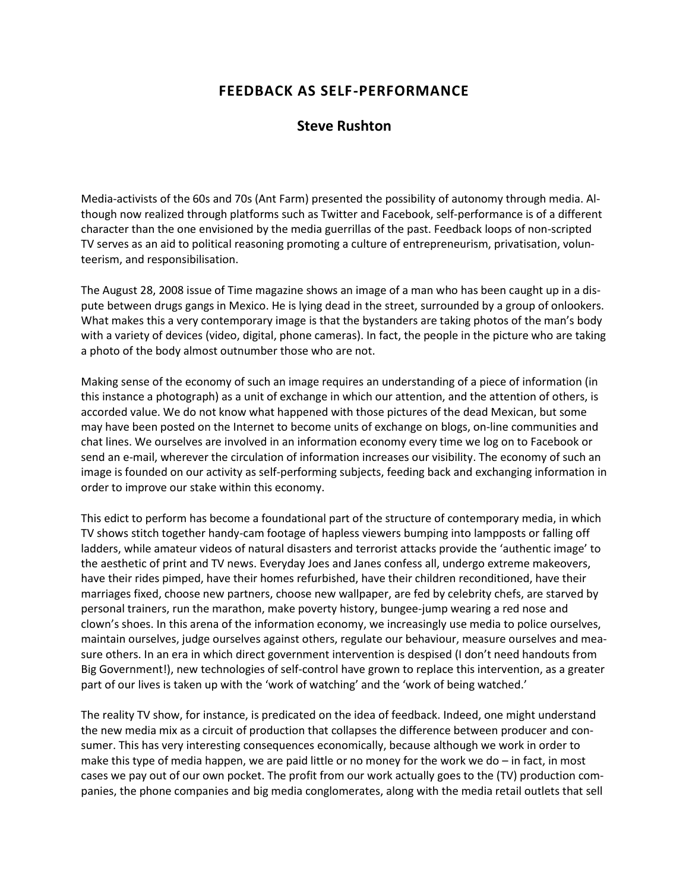## **FEEDBACK AS SELF-PERFORMANCE**

## **Steve Rushton**

Media-activists of the 60s and 70s (Ant Farm) presented the possibility of autonomy through media. Although now realized through platforms such as Twitter and Facebook, self-performance is of a different character than the one envisioned by the media guerrillas of the past. Feedback loops of non-scripted TV serves as an aid to political reasoning promoting a culture of entrepreneurism, privatisation, volunteerism, and responsibilisation.

The August 28, 2008 issue of Time magazine shows an image of a man who has been caught up in a dispute between drugs gangs in Mexico. He is lying dead in the street, surrounded by a group of onlookers. What makes this a very contemporary image is that the bystanders are taking photos of the man's body with a variety of devices (video, digital, phone cameras). In fact, the people in the picture who are taking a photo of the body almost outnumber those who are not.

Making sense of the economy of such an image requires an understanding of a piece of information (in this instance a photograph) as a unit of exchange in which our attention, and the attention of others, is accorded value. We do not know what happened with those pictures of the dead Mexican, but some may have been posted on the Internet to become units of exchange on blogs, on-line communities and chat lines. We ourselves are involved in an information economy every time we log on to Facebook or send an e-mail, wherever the circulation of information increases our visibility. The economy of such an image is founded on our activity as self-performing subjects, feeding back and exchanging information in order to improve our stake within this economy.

This edict to perform has become a foundational part of the structure of contemporary media, in which TV shows stitch together handy-cam footage of hapless viewers bumping into lampposts or falling off ladders, while amateur videos of natural disasters and terrorist attacks provide the 'authentic image' to the aesthetic of print and TV news. Everyday Joes and Janes confess all, undergo extreme makeovers, have their rides pimped, have their homes refurbished, have their children reconditioned, have their marriages fixed, choose new partners, choose new wallpaper, are fed by celebrity chefs, are starved by personal trainers, run the marathon, make poverty history, bungee-jump wearing a red nose and clown's shoes. In this arena of the information economy, we increasingly use media to police ourselves, maintain ourselves, judge ourselves against others, regulate our behaviour, measure ourselves and measure others. In an era in which direct government intervention is despised (I don't need handouts from Big Government!), new technologies of self-control have grown to replace this intervention, as a greater part of our lives is taken up with the 'work of watching' and the 'work of being watched.'

The reality TV show, for instance, is predicated on the idea of feedback. Indeed, one might understand the new media mix as a circuit of production that collapses the difference between producer and consumer. This has very interesting consequences economically, because although we work in order to make this type of media happen, we are paid little or no money for the work we do – in fact, in most cases we pay out of our own pocket. The profit from our work actually goes to the (TV) production companies, the phone companies and big media conglomerates, along with the media retail outlets that sell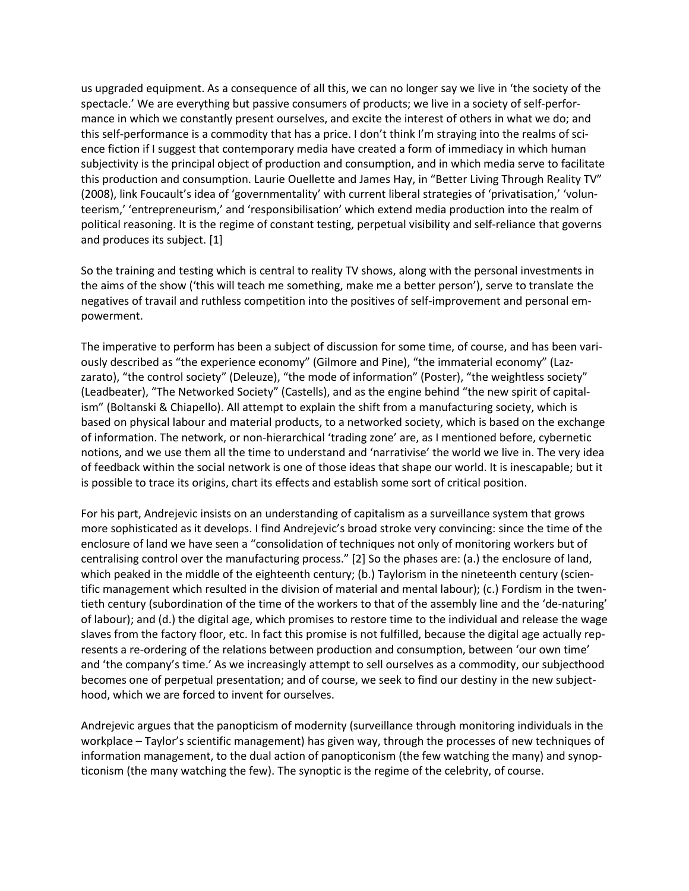us upgraded equipment. As a consequence of all this, we can no longer say we live in 'the society of the spectacle.' We are everything but passive consumers of products; we live in a society of self-performance in which we constantly present ourselves, and excite the interest of others in what we do; and this self-performance is a commodity that has a price. I don't think I'm straying into the realms of science fiction if I suggest that contemporary media have created a form of immediacy in which human subjectivity is the principal object of production and consumption, and in which media serve to facilitate this production and consumption. Laurie Ouellette and James Hay, in "Better Living Through Reality TV" (2008), link Foucault's idea of 'governmentality' with current liberal strategies of 'privatisation,' 'volunteerism,' 'entrepreneurism,' and 'responsibilisation' which extend media production into the realm of political reasoning. It is the regime of constant testing, perpetual visibility and self-reliance that governs and produces its subject. [1]

So the training and testing which is central to reality TV shows, along with the personal investments in the aims of the show ('this will teach me something, make me a better person'), serve to translate the negatives of travail and ruthless competition into the positives of self-improvement and personal empowerment.

The imperative to perform has been a subject of discussion for some time, of course, and has been variously described as "the experience economy" (Gilmore and Pine), "the immaterial economy" (Lazzarato), "the control society" (Deleuze), "the mode of information" (Poster), "the weightless society" (Leadbeater), "The Networked Society" (Castells), and as the engine behind "the new spirit of capitalism" (Boltanski & Chiapello). All attempt to explain the shift from a manufacturing society, which is based on physical labour and material products, to a networked society, which is based on the exchange of information. The network, or non-hierarchical 'trading zone' are, as I mentioned before, cybernetic notions, and we use them all the time to understand and 'narrativise' the world we live in. The very idea of feedback within the social network is one of those ideas that shape our world. It is inescapable; but it is possible to trace its origins, chart its effects and establish some sort of critical position.

For his part, Andrejevic insists on an understanding of capitalism as a surveillance system that grows more sophisticated as it develops. I find Andrejevic's broad stroke very convincing: since the time of the enclosure of land we have seen a "consolidation of techniques not only of monitoring workers but of centralising control over the manufacturing process." [2] So the phases are: (a.) the enclosure of land, which peaked in the middle of the eighteenth century; (b.) Taylorism in the nineteenth century (scientific management which resulted in the division of material and mental labour); (c.) Fordism in the twentieth century (subordination of the time of the workers to that of the assembly line and the 'de-naturing' of labour); and (d.) the digital age, which promises to restore time to the individual and release the wage slaves from the factory floor, etc. In fact this promise is not fulfilled, because the digital age actually represents a re-ordering of the relations between production and consumption, between 'our own time' and 'the company's time.' As we increasingly attempt to sell ourselves as a commodity, our subjecthood becomes one of perpetual presentation; and of course, we seek to find our destiny in the new subjecthood, which we are forced to invent for ourselves.

Andrejevic argues that the panopticism of modernity (surveillance through monitoring individuals in the workplace – Taylor's scientific management) has given way, through the processes of new techniques of information management, to the dual action of panopticonism (the few watching the many) and synopticonism (the many watching the few). The synoptic is the regime of the celebrity, of course.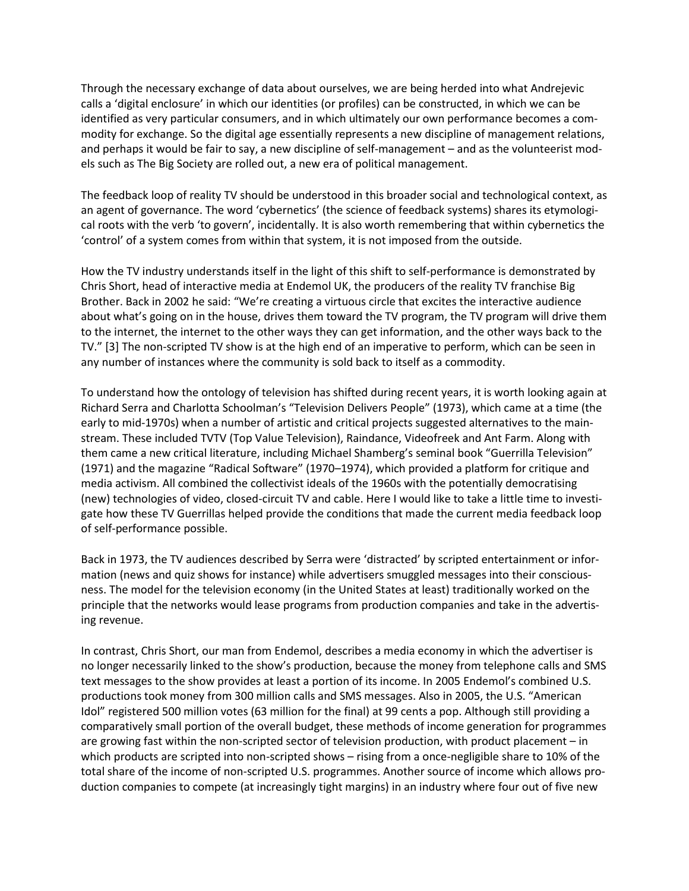Through the necessary exchange of data about ourselves, we are being herded into what Andrejevic calls a 'digital enclosure' in which our identities (or profiles) can be constructed, in which we can be identified as very particular consumers, and in which ultimately our own performance becomes a commodity for exchange. So the digital age essentially represents a new discipline of management relations, and perhaps it would be fair to say, a new discipline of self-management – and as the volunteerist models such as The Big Society are rolled out, a new era of political management.

The feedback loop of reality TV should be understood in this broader social and technological context, as an agent of governance. The word 'cybernetics' (the science of feedback systems) shares its etymological roots with the verb 'to govern', incidentally. It is also worth remembering that within cybernetics the 'control' of a system comes from within that system, it is not imposed from the outside.

How the TV industry understands itself in the light of this shift to self-performance is demonstrated by Chris Short, head of interactive media at Endemol UK, the producers of the reality TV franchise Big Brother. Back in 2002 he said: "We're creating a virtuous circle that excites the interactive audience about what's going on in the house, drives them toward the TV program, the TV program will drive them to the internet, the internet to the other ways they can get information, and the other ways back to the TV." [3] The non-scripted TV show is at the high end of an imperative to perform, which can be seen in any number of instances where the community is sold back to itself as a commodity.

To understand how the ontology of television has shifted during recent years, it is worth looking again at Richard Serra and Charlotta Schoolman's "Television Delivers People" (1973), which came at a time (the early to mid-1970s) when a number of artistic and critical projects suggested alternatives to the mainstream. These included TVTV (Top Value Television), Raindance, Videofreek and Ant Farm. Along with them came a new critical literature, including Michael Shamberg's seminal book "Guerrilla Television" (1971) and the magazine "Radical Software" (1970–1974), which provided a platform for critique and media activism. All combined the collectivist ideals of the 1960s with the potentially democratising (new) technologies of video, closed-circuit TV and cable. Here I would like to take a little time to investigate how these TV Guerrillas helped provide the conditions that made the current media feedback loop of self-performance possible.

Back in 1973, the TV audiences described by Serra were 'distracted' by scripted entertainment or information (news and quiz shows for instance) while advertisers smuggled messages into their consciousness. The model for the television economy (in the United States at least) traditionally worked on the principle that the networks would lease programs from production companies and take in the advertising revenue.

In contrast, Chris Short, our man from Endemol, describes a media economy in which the advertiser is no longer necessarily linked to the show's production, because the money from telephone calls and SMS text messages to the show provides at least a portion of its income. In 2005 Endemol's combined U.S. productions took money from 300 million calls and SMS messages. Also in 2005, the U.S. "American Idol" registered 500 million votes (63 million for the final) at 99 cents a pop. Although still providing a comparatively small portion of the overall budget, these methods of income generation for programmes are growing fast within the non-scripted sector of television production, with product placement – in which products are scripted into non-scripted shows – rising from a once-negligible share to 10% of the total share of the income of non-scripted U.S. programmes. Another source of income which allows production companies to compete (at increasingly tight margins) in an industry where four out of five new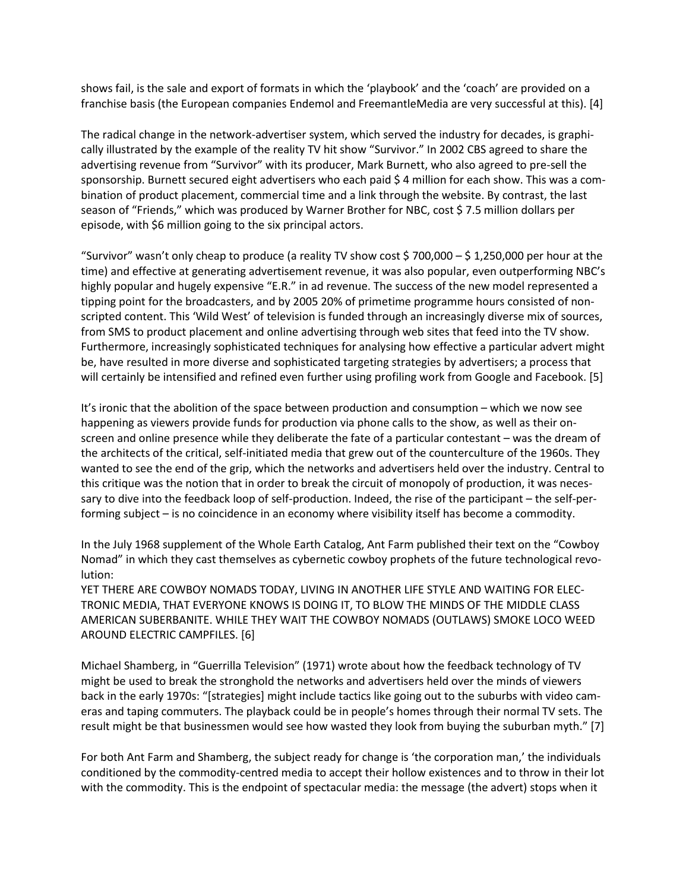shows fail, is the sale and export of formats in which the 'playbook' and the 'coach' are provided on a franchise basis (the European companies Endemol and FreemantleMedia are very successful at this). [4]

The radical change in the network-advertiser system, which served the industry for decades, is graphically illustrated by the example of the reality TV hit show "Survivor." In 2002 CBS agreed to share the advertising revenue from "Survivor" with its producer, Mark Burnett, who also agreed to pre-sell the sponsorship. Burnett secured eight advertisers who each paid \$ 4 million for each show. This was a combination of product placement, commercial time and a link through the website. By contrast, the last season of "Friends," which was produced by Warner Brother for NBC, cost \$ 7.5 million dollars per episode, with \$6 million going to the six principal actors.

"Survivor" wasn't only cheap to produce (a reality TV show cost \$ 700,000 – \$ 1,250,000 per hour at the time) and effective at generating advertisement revenue, it was also popular, even outperforming NBC's highly popular and hugely expensive "E.R." in ad revenue. The success of the new model represented a tipping point for the broadcasters, and by 2005 20% of primetime programme hours consisted of nonscripted content. This 'Wild West' of television is funded through an increasingly diverse mix of sources, from SMS to product placement and online advertising through web sites that feed into the TV show. Furthermore, increasingly sophisticated techniques for analysing how effective a particular advert might be, have resulted in more diverse and sophisticated targeting strategies by advertisers; a process that will certainly be intensified and refined even further using profiling work from Google and Facebook. [5]

It's ironic that the abolition of the space between production and consumption – which we now see happening as viewers provide funds for production via phone calls to the show, as well as their onscreen and online presence while they deliberate the fate of a particular contestant – was the dream of the architects of the critical, self-initiated media that grew out of the counterculture of the 1960s. They wanted to see the end of the grip, which the networks and advertisers held over the industry. Central to this critique was the notion that in order to break the circuit of monopoly of production, it was necessary to dive into the feedback loop of self-production. Indeed, the rise of the participant – the self-performing subject – is no coincidence in an economy where visibility itself has become a commodity.

In the July 1968 supplement of the Whole Earth Catalog, Ant Farm published their text on the "Cowboy Nomad" in which they cast themselves as cybernetic cowboy prophets of the future technological revolution:

YET THERE ARE COWBOY NOMADS TODAY, LIVING IN ANOTHER LIFE STYLE AND WAITING FOR ELEC-TRONIC MEDIA, THAT EVERYONE KNOWS IS DOING IT, TO BLOW THE MINDS OF THE MIDDLE CLASS AMERICAN SUBERBANITE. WHILE THEY WAIT THE COWBOY NOMADS (OUTLAWS) SMOKE LOCO WEED AROUND ELECTRIC CAMPFILES. [6]

Michael Shamberg, in "Guerrilla Television" (1971) wrote about how the feedback technology of TV might be used to break the stronghold the networks and advertisers held over the minds of viewers back in the early 1970s: "[strategies] might include tactics like going out to the suburbs with video cameras and taping commuters. The playback could be in people's homes through their normal TV sets. The result might be that businessmen would see how wasted they look from buying the suburban myth." [7]

For both Ant Farm and Shamberg, the subject ready for change is 'the corporation man,' the individuals conditioned by the commodity-centred media to accept their hollow existences and to throw in their lot with the commodity. This is the endpoint of spectacular media: the message (the advert) stops when it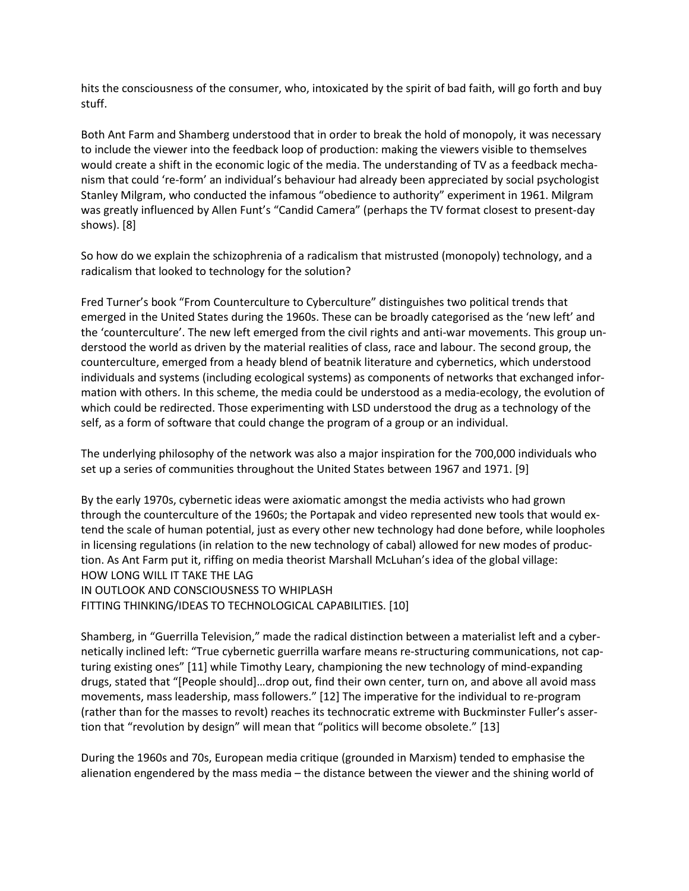hits the consciousness of the consumer, who, intoxicated by the spirit of bad faith, will go forth and buy stuff.

Both Ant Farm and Shamberg understood that in order to break the hold of monopoly, it was necessary to include the viewer into the feedback loop of production: making the viewers visible to themselves would create a shift in the economic logic of the media. The understanding of TV as a feedback mechanism that could 're-form' an individual's behaviour had already been appreciated by social psychologist Stanley Milgram, who conducted the infamous "obedience to authority" experiment in 1961. Milgram was greatly influenced by Allen Funt's "Candid Camera" (perhaps the TV format closest to present-day shows). [8]

So how do we explain the schizophrenia of a radicalism that mistrusted (monopoly) technology, and a radicalism that looked to technology for the solution?

Fred Turner's book "From Counterculture to Cyberculture" distinguishes two political trends that emerged in the United States during the 1960s. These can be broadly categorised as the 'new left' and the 'counterculture'. The new left emerged from the civil rights and anti-war movements. This group understood the world as driven by the material realities of class, race and labour. The second group, the counterculture, emerged from a heady blend of beatnik literature and cybernetics, which understood individuals and systems (including ecological systems) as components of networks that exchanged information with others. In this scheme, the media could be understood as a media-ecology, the evolution of which could be redirected. Those experimenting with LSD understood the drug as a technology of the self, as a form of software that could change the program of a group or an individual.

The underlying philosophy of the network was also a major inspiration for the 700,000 individuals who set up a series of communities throughout the United States between 1967 and 1971. [9]

By the early 1970s, cybernetic ideas were axiomatic amongst the media activists who had grown through the counterculture of the 1960s; the Portapak and video represented new tools that would extend the scale of human potential, just as every other new technology had done before, while loopholes in licensing regulations (in relation to the new technology of cabal) allowed for new modes of production. As Ant Farm put it, riffing on media theorist Marshall McLuhan's idea of the global village: HOW LONG WILL IT TAKE THE LAG IN OUTLOOK AND CONSCIOUSNESS TO WHIPLASH FITTING THINKING/IDEAS TO TECHNOLOGICAL CAPABILITIES. [10]

Shamberg, in "Guerrilla Television," made the radical distinction between a materialist left and a cybernetically inclined left: "True cybernetic guerrilla warfare means re-structuring communications, not capturing existing ones" [11] while Timothy Leary, championing the new technology of mind-expanding drugs, stated that "[People should]…drop out, find their own center, turn on, and above all avoid mass movements, mass leadership, mass followers." [12] The imperative for the individual to re-program (rather than for the masses to revolt) reaches its technocratic extreme with Buckminster Fuller's assertion that "revolution by design" will mean that "politics will become obsolete." [13]

During the 1960s and 70s, European media critique (grounded in Marxism) tended to emphasise the alienation engendered by the mass media – the distance between the viewer and the shining world of